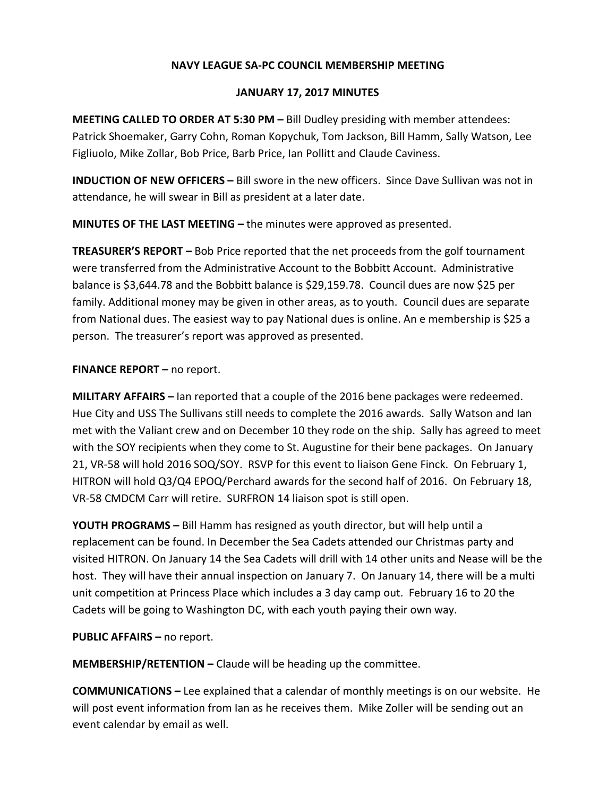## **NAVY LEAGUE SA-PC COUNCIL MEMBERSHIP MEETING**

## **JANUARY 17, 2017 MINUTES**

**MEETING CALLED TO ORDER AT 5:30 PM –** Bill Dudley presiding with member attendees: Patrick Shoemaker, Garry Cohn, Roman Kopychuk, Tom Jackson, Bill Hamm, Sally Watson, Lee Figliuolo, Mike Zollar, Bob Price, Barb Price, Ian Pollitt and Claude Caviness.

**INDUCTION OF NEW OFFICERS –** Bill swore in the new officers. Since Dave Sullivan was not in attendance, he will swear in Bill as president at a later date.

**MINUTES OF THE LAST MEETING –** the minutes were approved as presented.

**TREASURER'S REPORT –** Bob Price reported that the net proceeds from the golf tournament were transferred from the Administrative Account to the Bobbitt Account. Administrative balance is \$3,644.78 and the Bobbitt balance is \$29,159.78. Council dues are now \$25 per family. Additional money may be given in other areas, as to youth. Council dues are separate from National dues. The easiest way to pay National dues is online. An e membership is \$25 a person. The treasurer's report was approved as presented.

## **FINANCE REPORT –** no report.

**MILITARY AFFAIRS –** Ian reported that a couple of the 2016 bene packages were redeemed. Hue City and USS The Sullivans still needs to complete the 2016 awards. Sally Watson and Ian met with the Valiant crew and on December 10 they rode on the ship. Sally has agreed to meet with the SOY recipients when they come to St. Augustine for their bene packages. On January 21, VR-58 will hold 2016 SOQ/SOY. RSVP for this event to liaison Gene Finck. On February 1, HITRON will hold Q3/Q4 EPOQ/Perchard awards for the second half of 2016. On February 18, VR-58 CMDCM Carr will retire. SURFRON 14 liaison spot is still open.

**YOUTH PROGRAMS –** Bill Hamm has resigned as youth director, but will help until a replacement can be found. In December the Sea Cadets attended our Christmas party and visited HITRON. On January 14 the Sea Cadets will drill with 14 other units and Nease will be the host. They will have their annual inspection on January 7. On January 14, there will be a multi unit competition at Princess Place which includes a 3 day camp out. February 16 to 20 the Cadets will be going to Washington DC, with each youth paying their own way.

**PUBLIC AFFAIRS –** no report.

**MEMBERSHIP/RETENTION –** Claude will be heading up the committee.

**COMMUNICATIONS –** Lee explained that a calendar of monthly meetings is on our website. He will post event information from Ian as he receives them. Mike Zoller will be sending out an event calendar by email as well.